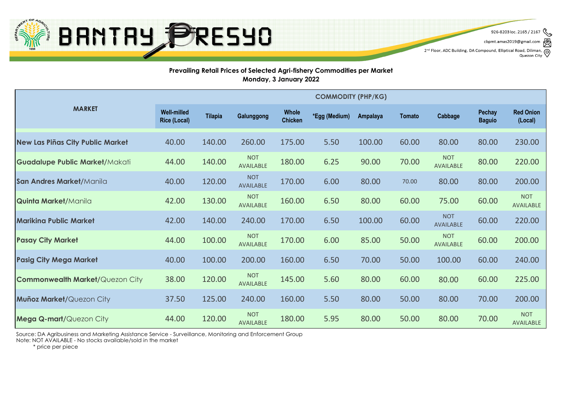

cbpmt.amas2019@gmail.com

2<sup>nd</sup> Floor, ADC Building, DA Compound, Elliptical Road, Diliman,  $\bigotimes$ <br>Quezon City Quezon City

#### **Prevailing Retail Prices of Selected Agri-fishery Commodities per Market Monday, 3 January 2022**

|                                        | <b>COMMODITY (PHP/KG)</b>                 |                |                                |                                |               |          |        |                                |                         |                                |  |
|----------------------------------------|-------------------------------------------|----------------|--------------------------------|--------------------------------|---------------|----------|--------|--------------------------------|-------------------------|--------------------------------|--|
| <b>MARKET</b>                          | <b>Well-milled</b><br><b>Rice (Local)</b> | <b>Tilapia</b> | Galunggong                     | <b>Whole</b><br><b>Chicken</b> | *Egg (Medium) | Ampalaya | Tomato | Cabbage                        | Pechay<br><b>Baguio</b> | <b>Red Onion</b><br>(Local)    |  |
| New Las Piñas City Public Market       | 40.00                                     | 140.00         | 260.00                         | 175.00                         | 5.50          | 100.00   | 60.00  | 80.00                          | 80.00                   | 230.00                         |  |
| Guadalupe Public Market/Makati         | 44.00                                     | 140.00         | <b>NOT</b><br><b>AVAILABLE</b> | 180.00                         | 6.25          | 90.00    | 70.00  | <b>NOT</b><br><b>AVAILABLE</b> | 80.00                   | 220.00                         |  |
| San Andres Market/Manila               | 40.00                                     | 120.00         | <b>NOT</b><br><b>AVAILABLE</b> | 170.00                         | 6.00          | 80.00    | 70.00  | 80.00                          | 80.00                   | 200.00                         |  |
| <b>Quinta Market/Manila</b>            | 42.00                                     | 130.00         | <b>NOT</b><br><b>AVAILABLE</b> | 160.00                         | 6.50          | 80.00    | 60.00  | 75.00                          | 60.00                   | <b>NOT</b><br><b>AVAILABLE</b> |  |
| <b>Marikina Public Market</b>          | 42.00                                     | 140.00         | 240.00                         | 170.00                         | 6.50          | 100.00   | 60.00  | <b>NOT</b><br><b>AVAILABLE</b> | 60.00                   | 220.00                         |  |
| <b>Pasay City Market</b>               | 44.00                                     | 100.00         | <b>NOT</b><br><b>AVAILABLE</b> | 170.00                         | 6.00          | 85.00    | 50.00  | <b>NOT</b><br><b>AVAILABLE</b> | 60.00                   | 200.00                         |  |
| <b>Pasig City Mega Market</b>          | 40.00                                     | 100.00         | 200.00                         | 160.00                         | 6.50          | 70.00    | 50.00  | 100.00                         | 60.00                   | 240.00                         |  |
| <b>Commonwealth Market/Quezon City</b> | 38.00                                     | 120.00         | <b>NOT</b><br><b>AVAILABLE</b> | 145.00                         | 5.60          | 80.00    | 60.00  | 80.00                          | 60.00                   | 225.00                         |  |
| Muñoz Market/Quezon City               | 37.50                                     | 125.00         | 240.00                         | 160.00                         | 5.50          | 80.00    | 50.00  | 80.00                          | 70.00                   | 200.00                         |  |
| <b>Mega Q-mart/</b> Quezon City        | 44.00                                     | 120.00         | <b>NOT</b><br><b>AVAILABLE</b> | 180.00                         | 5.95          | 80.00    | 50.00  | 80.00                          | 70.00                   | <b>NOT</b><br><b>AVAILABLE</b> |  |

Source: DA Agribusiness and Marketing Assistance Service - Surveillance, Monitoring and Enforcement Group

Note: NOT AVAILABLE - No stocks available/sold in the market

\* price per piece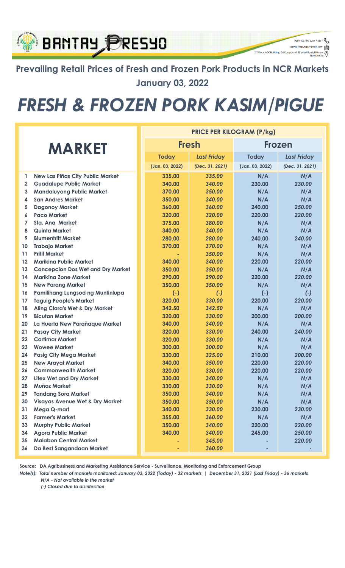### **BANTAY PRESYO**

**Prevailing Retail Prices of Fresh and Frozen Pork Products in NCR Markets January 03, 2022**

926-8203 loc. 2165 / 2167 cbpmt.amas2019@gmail.com

ල

2<sup>nd</sup> Floor, ADC Building, DA Compound, Elliptical Road, Dili

## *FRESH & FROZEN PORK KASIM/PIGUE*

|               |                                            | <b>PRICE PER KILOGRAM (P/kg)</b> |                    |                 |                    |  |  |
|---------------|--------------------------------------------|----------------------------------|--------------------|-----------------|--------------------|--|--|
| <b>MARKET</b> |                                            | <b>Fresh</b>                     |                    | <b>Frozen</b>   |                    |  |  |
|               |                                            | <b>Today</b>                     | <b>Last Friday</b> | <b>Today</b>    | <b>Last Friday</b> |  |  |
|               |                                            | (Jan. 03, 2022)                  | (Dec. 31, 2021)    | (Jan. 03, 2022) | (Dec. 31, 2021)    |  |  |
| 1             | <b>New Las Piñas City Public Market</b>    | 335.00                           | 335.00             | N/A             | N/A                |  |  |
| $\mathbf{2}$  | <b>Guadalupe Public Market</b>             | 340.00                           | 340.00             | 230.00          | 230.00             |  |  |
| 3             | <b>Mandaluyong Public Market</b>           | 370.00                           | 350.00             | N/A             | N/A                |  |  |
| 4             | <b>San Andres Market</b>                   | 350.00                           | 340.00             | N/A             | N/A                |  |  |
| 5             | <b>Dagonoy Market</b>                      | 360.00                           | 360.00             | 240.00          | 250.00             |  |  |
| 6             | <b>Paco Market</b>                         | 320.00                           | 320.00             | 220.00          | 220.00             |  |  |
| 7             | <b>Sta. Ana Market</b>                     | 375.00                           | 380.00             | N/A             | N/A                |  |  |
| 8             | <b>Quinta Market</b>                       | 340.00                           | 340.00             | N/A             | N/A                |  |  |
| 9             | <b>Blumentritt Market</b>                  | 280.00                           | 280.00             | 240.00          | 240.00             |  |  |
| 10            | <b>Trabajo Market</b>                      | 370.00                           | 370.00             | N/A             | N/A                |  |  |
| 11            | <b>Pritil Market</b>                       |                                  | 350.00             | N/A             | N/A                |  |  |
| 12            | <b>Marikina Public Market</b>              | 340.00                           | 340.00             | 220.00          | 220.00             |  |  |
| 13            | <b>Concepcion Dos Wet and Dry Market</b>   | 350.00                           | 350.00             | N/A             | N/A                |  |  |
| 14            | <b>Marikina Zone Market</b>                | 290.00                           | 290.00             | 220.00          | 220.00             |  |  |
| 15            | <b>New Parang Market</b>                   | 350.00                           | 350.00             | N/A             | N/A                |  |  |
| 16            | Pamilihang Lungsod ng Muntinlupa           | $(-)$                            | $(-)$              | $(-)$           | $(\cdot)$          |  |  |
| 17            | <b>Taguig People's Market</b>              | 320.00                           | 330.00             | 220.00          | 220.00             |  |  |
| 18            | <b>Aling Clara's Wet &amp; Dry Market</b>  | 342.50                           | 342.50             | N/A             | N/A                |  |  |
| 19            | <b>Bicutan Market</b>                      | 320.00                           | 330.00             | 200.00          | 200.00             |  |  |
| 20            | La Huerta New Parañaque Market             | 340.00                           | 340.00             | N/A             | N/A                |  |  |
| 21            | <b>Pasay City Market</b>                   | 320.00                           | 330.00             | 240.00          | 240.00             |  |  |
| 22            | <b>Cartimar Market</b>                     | 320.00                           | 330.00             | N/A             | N/A                |  |  |
| 23            | <b>Wowee Market</b>                        | 300.00                           | 300.00             | N/A             | N/A                |  |  |
| 24            | <b>Pasig City Mega Market</b>              | 330.00                           | 325.00             | 210.00          | 200.00             |  |  |
| 25            | <b>New Arayat Market</b>                   | 340.00                           | 350.00             | 220.00          | 220.00             |  |  |
| 26            | <b>Commonwealth Market</b>                 | 320.00                           | 330.00             | 220.00          | 220.00             |  |  |
| 27            | <b>Litex Wet and Dry Market</b>            | 330.00                           | 340.00             | N/A             | N/A                |  |  |
| 28            | <b>Muñoz Market</b>                        | 330.00                           | 330.00             | N/A             | N/A                |  |  |
| 29            | <b>Tandang Sora Market</b>                 | 350.00                           | 340.00             | N/A             | N/A                |  |  |
| 30            | <b>Visayas Avenue Wet &amp; Dry Market</b> | 350.00                           | 350.00             | N/A             | N/A                |  |  |
| 31            | Mega Q-mart                                | 340.00                           | 330.00             | 230.00          | 230.00             |  |  |
| 32            | <b>Farmer's Market</b>                     | 355.00                           | 360.00             | N/A             | N/A                |  |  |
| 33            | <b>Murphy Public Market</b>                | 350.00                           | 340.00             | 220.00          | 220.00             |  |  |
| 34            | <b>Agora Public Market</b>                 | 340.00                           | 340.00             | 245.00          | 250.00             |  |  |
| 35            | <b>Malabon Central Market</b>              |                                  | 345.00             |                 | 220.00             |  |  |
| 36            | Da Best Sangandaan Market                  |                                  | 360.00             |                 |                    |  |  |

**Source: DA Agribusiness and Marketing Assistance Service - Surveillance, Monitoring and Enforcement Group**

*N/A - Not available in the market Note(s): Total number of markets monitored: January 03, 2022 (Today) - 32 markets | December 31, 2021 (Last Friday) - 36 markets*

*(-) Closed due to disinfection*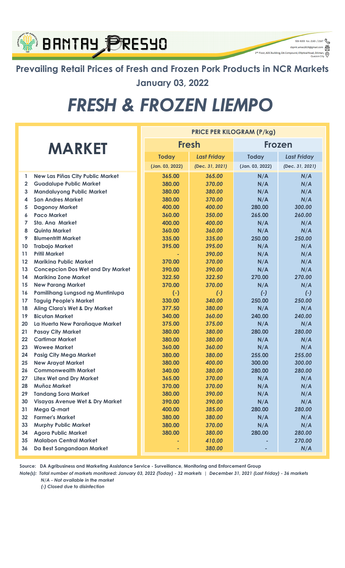### **BANTAY PRESYO** 2<sup>nd</sup> Floor, ADC Building, DA Compound, Elliptical Roa

**Prevailing Retail Prices of Fresh and Frozen Pork Products in NCR Markets January 03, 2022**

926-8203 loc. 2165 / 2167  $\begin{picture}(160,10) \put(0,0){\line(1,0){100}} \put(15,0){\line(1,0){100}} \put(15,0){\line(1,0){100}} \put(15,0){\line(1,0){100}} \put(15,0){\line(1,0){100}} \put(15,0){\line(1,0){100}} \put(15,0){\line(1,0){100}} \put(15,0){\line(1,0){100}} \put(15,0){\line(1,0){100}} \put(15,0){\line(1,0){100}} \put(15,0){\line(1,0){100}}$ 

 $\circledcirc$ 

# *FRESH & FROZEN LIEMPO*

|               |                                            | <b>PRICE PER KILOGRAM (P/kg)</b> |                 |                    |                 |                    |  |
|---------------|--------------------------------------------|----------------------------------|-----------------|--------------------|-----------------|--------------------|--|
| <b>MARKET</b> |                                            |                                  | <b>Fresh</b>    |                    | Frozen          |                    |  |
|               |                                            |                                  | <b>Today</b>    | <b>Last Friday</b> | <b>Today</b>    | <b>Last Friday</b> |  |
|               |                                            |                                  | (Jan. 03, 2022) | (Dec. 31, 2021)    | (Jan. 03, 2022) | (Dec. 31, 2021)    |  |
| 1             | New Las Piñas City Public Market           |                                  | 365.00          | 365.00             | N/A             | N/A                |  |
| $\mathbf{2}$  | <b>Guadalupe Public Market</b>             |                                  | 380.00          | 370.00             | N/A             | N/A                |  |
| 3             | <b>Mandaluyong Public Market</b>           |                                  | 380.00          | 380.00             | N/A             | N/A                |  |
| 4             | <b>San Andres Market</b>                   |                                  | 380.00          | 370.00             | N/A             | N/A                |  |
| 5             | <b>Dagonoy Market</b>                      |                                  | 400.00          | 400.00             | 280.00          | 300.00             |  |
| 6             | <b>Paco Market</b>                         |                                  | 360.00          | 350.00             | 265.00          | 260.00             |  |
| 7             | Sta. Ana Market                            |                                  | 400.00          | 400.00             | N/A             | N/A                |  |
| 8             | <b>Quinta Market</b>                       |                                  | 360.00          | 360.00             | N/A             | N/A                |  |
| 9             | <b>Blumentritt Market</b>                  |                                  | 335.00          | 335.00             | 250.00          | 250.00             |  |
| 10            | <b>Trabajo Market</b>                      |                                  | 395.00          | 395.00             | N/A             | N/A                |  |
| 11            | <b>Pritil Market</b>                       |                                  |                 | 390.00             | N/A             | N/A                |  |
| 12            | <b>Marikina Public Market</b>              |                                  | 370.00          | 370.00             | N/A             | N/A                |  |
| 13            | <b>Concepcion Dos Wet and Dry Market</b>   |                                  | 390.00          | 390.00             | N/A             | N/A                |  |
| 14            | <b>Marikina Zone Market</b>                |                                  | 322.50          | 322.50             | 270.00          | 270.00             |  |
| 15            | <b>New Parang Market</b>                   |                                  | 370.00          | 370.00             | N/A             | N/A                |  |
| 16            | Pamilihang Lungsod ng Muntinlupa           |                                  | $(-)$           | $(-)$              | $(-)$           | $(\cdot)$          |  |
| 17            | <b>Taguig People's Market</b>              |                                  | 330.00          | 340.00             | 250.00          | 250.00             |  |
| 18            | <b>Aling Clara's Wet &amp; Dry Market</b>  |                                  | 377.50          | 380.00             | N/A             | N/A                |  |
| 19            | <b>Bicutan Market</b>                      |                                  | 340.00          | 360.00             | 240.00          | 240.00             |  |
| 20            | La Huerta New Parañaque Market             |                                  | 375.00          | 375.00             | N/A             | N/A                |  |
| 21            | <b>Pasay City Market</b>                   |                                  | 380.00          | 380.00             | 280.00          | 280.00             |  |
| 22            | <b>Cartimar Market</b>                     |                                  | 380.00          | 380.00             | N/A             | N/A                |  |
| 23            | <b>Wowee Market</b>                        |                                  | 360.00          | 360.00             | N/A             | N/A                |  |
| 24            | <b>Pasig City Mega Market</b>              |                                  | 380.00          | 380.00             | 255.00          | 255.00             |  |
| 25            | <b>New Arayat Market</b>                   |                                  | 380.00          | 400.00             | 300.00          | 300.00             |  |
| 26            | <b>Commonwealth Market</b>                 |                                  | 340.00          | 380.00             | 280.00          | 280.00             |  |
| 27            | <b>Litex Wet and Dry Market</b>            |                                  | 365.00          | 370.00             | N/A             | N/A                |  |
| 28            | <b>Muñoz Market</b>                        |                                  | 370.00          | 370.00             | N/A             | N/A                |  |
| 29            | <b>Tandang Sora Market</b>                 |                                  | 380.00          | 390.00             | N/A             | N/A                |  |
| 30            | <b>Visayas Avenue Wet &amp; Dry Market</b> |                                  | 390.00          | 390.00             | N/A             | N/A                |  |
| 31            | Mega Q-mart                                |                                  | 400.00          | 385.00             | 280.00          | 280.00             |  |
| 32            | <b>Farmer's Market</b>                     |                                  | 380.00          | 380.00             | N/A             | N/A                |  |
| 33            | <b>Murphy Public Market</b>                |                                  | 380.00          | 370.00             | N/A             | N/A                |  |
| 34            | <b>Agora Public Market</b>                 |                                  | 380.00          | 380.00             | 280.00          | 280.00             |  |
| 35            | <b>Malabon Central Market</b>              |                                  |                 | 410.00             |                 | 270.00             |  |
| 36            | Da Best Sangandaan Market                  |                                  |                 | 380.00             |                 | N/A                |  |

**Source: DA Agribusiness and Marketing Assistance Service - Surveillance, Monitoring and Enforcement Group**

*Note(s): Total number of markets monitored: January 03, 2022 (Today) - 32 markets | December 31, 2021 (Last Friday) - 36 markets N/A - Not available in the market*

*(-) Closed due to disinfection*